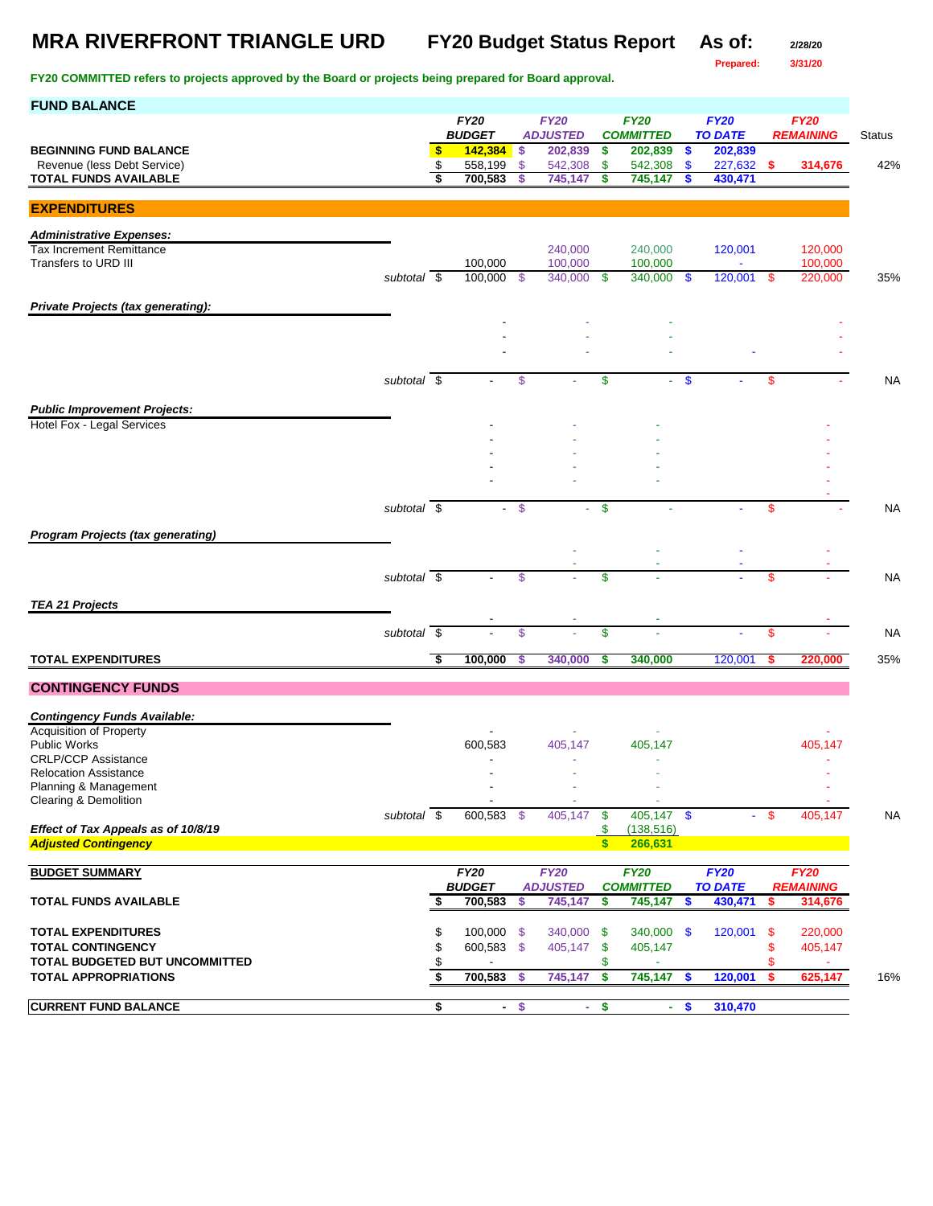## **MRA RIVERFRONT TRIANGLE URD FY20 Budget Status Report As of: 2/28/20**

**Prepared: 3/31/20**

| <b>FUND BALANCE</b>                                   |             |          |                            |               |                            |                     |                             |               |                           |         |                  |               |
|-------------------------------------------------------|-------------|----------|----------------------------|---------------|----------------------------|---------------------|-----------------------------|---------------|---------------------------|---------|------------------|---------------|
|                                                       |             |          | <b>FY20</b>                |               | <b>FY20</b>                |                     | <b>FY20</b>                 |               | <b>FY20</b>               |         | <b>FY20</b>      |               |
| <b>BEGINNING FUND BALANCE</b>                         |             | \$       | <b>BUDGET</b><br>142,384   | \$            | <b>ADJUSTED</b><br>202,839 | \$                  | <b>COMMITTED</b><br>202,839 | \$            | <b>TO DATE</b><br>202,839 |         | <b>REMAINING</b> | <b>Status</b> |
| Revenue (less Debt Service)                           |             | \$       | 558,199                    | -S            | 542,308                    | \$                  | 542,308                     | \$            | 227,632                   | -S      | 314,676          | 42%           |
| <b>TOTAL FUNDS AVAILABLE</b>                          |             | \$       | 700,583                    | S             | 745,147                    | \$                  | 745,147                     | \$            | 430,471                   |         |                  |               |
|                                                       |             |          |                            |               |                            |                     |                             |               |                           |         |                  |               |
| <b>EXPENDITURES</b>                                   |             |          |                            |               |                            |                     |                             |               |                           |         |                  |               |
| <b>Administrative Expenses:</b>                       |             |          |                            |               |                            |                     |                             |               |                           |         |                  |               |
| <b>Tax Increment Remittance</b>                       |             |          |                            |               | 240,000                    |                     | 240,000                     |               | 120,001                   |         | 120,000          |               |
| Transfers to URD III                                  |             |          | 100,000                    |               | 100,000                    |                     | 100,000                     |               | ÷,                        |         | 100,000          |               |
|                                                       | subtotal \$ |          | 100,000                    | -\$           | 340,000                    | -\$                 | 340,000                     | $\mathbf{\$}$ | 120,001                   | - \$    | 220,000          | 35%           |
|                                                       |             |          |                            |               |                            |                     |                             |               |                           |         |                  |               |
| Private Projects (tax generating):                    |             |          |                            |               |                            |                     |                             |               |                           |         |                  |               |
|                                                       |             |          |                            |               |                            |                     |                             |               |                           |         |                  |               |
|                                                       |             |          |                            |               |                            |                     |                             |               |                           |         |                  |               |
|                                                       |             |          |                            |               |                            |                     |                             |               |                           |         |                  |               |
|                                                       | subtotal \$ |          |                            | \$            |                            | \$                  |                             | $-$ \$        |                           | S       |                  | <b>NA</b>     |
|                                                       |             |          |                            |               |                            |                     |                             |               |                           |         |                  |               |
| <b>Public Improvement Projects:</b>                   |             |          |                            |               |                            |                     |                             |               |                           |         |                  |               |
| Hotel Fox - Legal Services                            |             |          |                            |               |                            |                     |                             |               |                           |         |                  |               |
|                                                       |             |          |                            |               |                            |                     |                             |               |                           |         |                  |               |
|                                                       |             |          |                            |               |                            |                     |                             |               |                           |         |                  |               |
|                                                       |             |          |                            |               |                            |                     |                             |               |                           |         |                  |               |
|                                                       |             |          |                            |               |                            |                     |                             |               |                           |         |                  |               |
|                                                       | subtotal \$ |          |                            | - \$          |                            | S.                  |                             |               |                           | \$      |                  | <b>NA</b>     |
| <b>Program Projects (tax generating)</b>              |             |          |                            |               |                            |                     |                             |               |                           |         |                  |               |
|                                                       |             |          |                            |               |                            |                     |                             |               |                           |         |                  |               |
|                                                       |             |          |                            |               |                            |                     |                             |               |                           |         |                  |               |
|                                                       | subtotal \$ |          |                            | $\mathsf{\$}$ |                            | \$                  |                             |               |                           | \$      |                  | <b>NA</b>     |
| <b>TEA 21 Projects</b>                                |             |          |                            |               |                            |                     |                             |               |                           |         |                  |               |
|                                                       |             |          |                            |               |                            |                     |                             |               |                           |         |                  |               |
|                                                       | subtotal \$ |          |                            | \$            |                            | \$                  |                             |               | ٠                         | \$      |                  | <b>NA</b>     |
| <b>TOTAL EXPENDITURES</b>                             |             | \$       | 100,000                    | S             | 340,000                    | \$                  | 340,000                     |               | 120,001                   | S       | 220,000          | 35%           |
|                                                       |             |          |                            |               |                            |                     |                             |               |                           |         |                  |               |
| <b>CONTINGENCY FUNDS</b>                              |             |          |                            |               |                            |                     |                             |               |                           |         |                  |               |
|                                                       |             |          |                            |               |                            |                     |                             |               |                           |         |                  |               |
| <b>Contingency Funds Available:</b>                   |             |          |                            |               |                            |                     |                             |               |                           |         |                  |               |
| <b>Acquisition of Property</b><br><b>Public Works</b> |             |          | 600,583                    |               | 405,147                    |                     | 405,147                     |               |                           |         | 405,147          |               |
| <b>CRLP/CCP Assistance</b>                            |             |          |                            |               |                            |                     |                             |               |                           |         |                  |               |
| <b>Relocation Assistance</b>                          |             |          |                            |               |                            |                     |                             |               |                           |         |                  |               |
| Planning & Management                                 |             |          |                            |               |                            |                     |                             |               |                           |         |                  |               |
| Clearing & Demolition                                 |             |          |                            |               |                            |                     |                             |               |                           |         |                  |               |
| Effect of Tax Appeals as of 10/8/19                   | subtotal \$ |          | 600,583 \$                 |               | 405,147                    | $\sqrt[6]{3}$<br>\$ | $405,147$ \$<br>(138, 516)  |               |                           | - \$    | 405,147          | <b>NA</b>     |
| <b>Adjusted Contingency</b>                           |             |          |                            |               |                            | S                   | 266,631                     |               |                           |         |                  |               |
|                                                       |             |          |                            |               |                            |                     |                             |               |                           |         |                  |               |
| <b>BUDGET SUMMARY</b>                                 |             |          | <b>FY20</b>                |               | <b>FY20</b>                |                     | <b>FY20</b>                 |               | <b>FY20</b>               |         | <b>FY20</b>      |               |
|                                                       |             |          | <b>BUDGET</b>              |               | <b>ADJUSTED</b>            |                     | <b>COMMITTED</b>            |               | <b>TO DATE</b>            |         | <b>REMAINING</b> |               |
| <b>TOTAL FUNDS AVAILABLE</b>                          |             | \$       | 700,583                    | \$            | 745,147                    | \$                  | 745,147                     | \$            | 430,471                   | \$      | 314,676          |               |
|                                                       |             |          |                            |               |                            |                     |                             |               |                           |         |                  |               |
| <b>TOTAL EXPENDITURES</b><br><b>TOTAL CONTINGENCY</b> |             | \$       | $100,000$ \$<br>600,583 \$ |               | 340,000                    | -\$                 | 340,000 \$                  |               | 120,001                   | \$      | 220,000          |               |
| TOTAL BUDGETED BUT UNCOMMITTED                        |             | \$<br>\$ |                            |               | 405,147                    | \$<br>\$            | 405,147                     |               |                           | \$<br>S | 405,147          |               |
| <b>TOTAL APPROPRIATIONS</b>                           |             | \$       | 700,583                    | -S            | 745,147                    | \$                  | 745,147                     | \$            | 120,001                   | \$      | 625,147          | 16%           |
|                                                       |             |          |                            |               |                            |                     |                             |               |                           |         |                  |               |
| <b>CURRENT FUND BALANCE</b>                           |             | \$       |                            | $-$ \$        |                            | $-$ \$              |                             | $-$ \$        | 310,470                   |         |                  |               |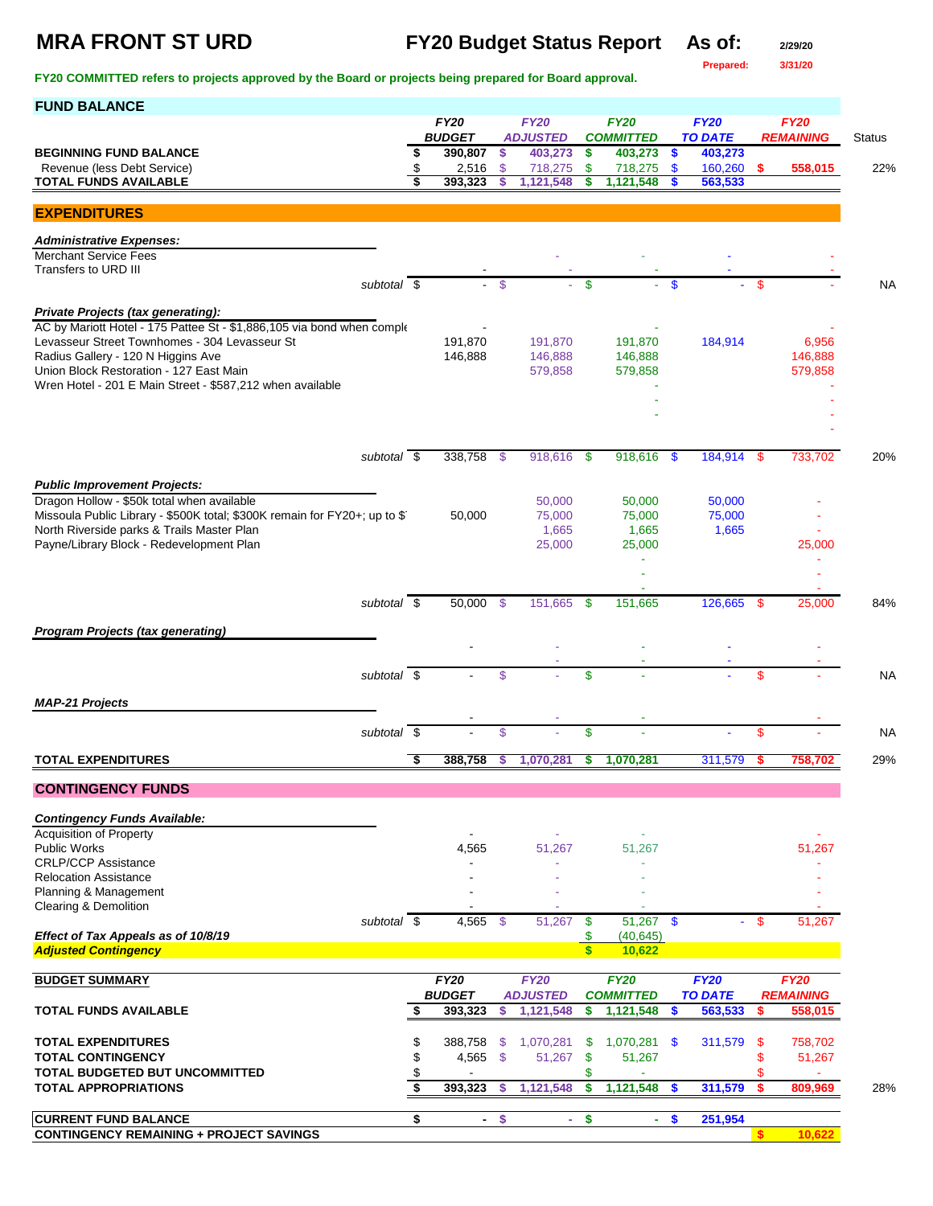**Prepared: 3/31/20**

| <b>FUND BALANCE</b>                                                                                                                                                                                                                                                                                         |          |                              |                 |                                     |              |                                     |               |                               |          |                             |           |
|-------------------------------------------------------------------------------------------------------------------------------------------------------------------------------------------------------------------------------------------------------------------------------------------------------------|----------|------------------------------|-----------------|-------------------------------------|--------------|-------------------------------------|---------------|-------------------------------|----------|-----------------------------|-----------|
|                                                                                                                                                                                                                                                                                                             |          | <b>FY20</b><br><b>BUDGET</b> |                 | <b>FY20</b><br><b>ADJUSTED</b>      |              | <b>FY20</b><br><b>COMMITTED</b>     |               | <b>FY20</b><br><b>TO DATE</b> |          | <b>FY20</b>                 | Status    |
| <b>BEGINNING FUND BALANCE</b>                                                                                                                                                                                                                                                                               | \$       | 390,807                      | $\sqrt{5}$      | 403,273                             | \$           | 403,273                             | $\bullet$     | 403,273                       |          | <b>REMAINING</b>            |           |
| Revenue (less Debt Service)<br><b>TOTAL FUNDS AVAILABLE</b>                                                                                                                                                                                                                                                 | \$<br>\$ | 2,516<br>393,323             | -\$<br><b>S</b> | 718,275<br>1,121,548                | \$<br>\$     | 718,275<br>1,121,548                | \$<br>\$      | 160,260                       | \$.      | 558,015                     | 22%       |
|                                                                                                                                                                                                                                                                                                             |          |                              |                 |                                     |              |                                     |               | 563,533                       |          |                             |           |
| <b>EXPENDITURES</b>                                                                                                                                                                                                                                                                                         |          |                              |                 |                                     |              |                                     |               |                               |          |                             |           |
| <b>Administrative Expenses:</b>                                                                                                                                                                                                                                                                             |          |                              |                 |                                     |              |                                     |               |                               |          |                             |           |
| <b>Merchant Service Fees</b><br>Transfers to URD III                                                                                                                                                                                                                                                        |          |                              |                 |                                     |              |                                     |               |                               |          |                             |           |
| subtotal $\overline{\$}$                                                                                                                                                                                                                                                                                    |          |                              | \$              |                                     | $\mathbf{s}$ |                                     | \$            |                               | \$       |                             | <b>NA</b> |
| Private Projects (tax generating):<br>AC by Mariott Hotel - 175 Pattee St - \$1,886,105 via bond when comple<br>Levasseur Street Townhomes - 304 Levasseur St<br>Radius Gallery - 120 N Higgins Ave<br>Union Block Restoration - 127 East Main<br>Wren Hotel - 201 E Main Street - \$587,212 when available |          | 191,870<br>146,888           |                 | 191,870<br>146,888<br>579,858       |              | 191,870<br>146,888<br>579,858       |               | 184,914                       |          | 6,956<br>146,888<br>579,858 |           |
|                                                                                                                                                                                                                                                                                                             |          |                              |                 |                                     |              |                                     |               |                               |          |                             |           |
|                                                                                                                                                                                                                                                                                                             |          |                              |                 |                                     |              |                                     |               |                               |          |                             |           |
|                                                                                                                                                                                                                                                                                                             |          |                              |                 |                                     |              |                                     |               |                               |          |                             |           |
| subtotal \$                                                                                                                                                                                                                                                                                                 |          | 338,758 \$                   |                 | 918,616                             | - \$         | 918,616                             | - \$          | 184,914 \$                    |          | 733.702                     | 20%       |
| <b>Public Improvement Projects:</b><br>Dragon Hollow - \$50k total when available<br>Missoula Public Library - \$500K total; \$300K remain for FY20+; up to \$1<br>North Riverside parks & Trails Master Plan<br>Payne/Library Block - Redevelopment Plan                                                   |          | 50,000                       |                 | 50,000<br>75,000<br>1,665<br>25,000 |              | 50,000<br>75,000<br>1,665<br>25,000 |               | 50,000<br>75,000<br>1,665     |          | 25,000                      |           |
|                                                                                                                                                                                                                                                                                                             |          |                              |                 |                                     |              |                                     |               |                               |          |                             |           |
|                                                                                                                                                                                                                                                                                                             |          |                              |                 |                                     |              |                                     |               |                               |          |                             |           |
| subtotal $\overline{\$}$                                                                                                                                                                                                                                                                                    |          | 50,000                       | - \$            | 151,665                             | -S           | 151,665                             |               | 126,665                       | -S       | 25,000                      | 84%       |
| <b>Program Projects (tax generating)</b>                                                                                                                                                                                                                                                                    |          |                              |                 |                                     |              |                                     |               |                               |          |                             |           |
|                                                                                                                                                                                                                                                                                                             |          |                              |                 |                                     |              |                                     |               |                               |          |                             |           |
| subtotal \$                                                                                                                                                                                                                                                                                                 |          |                              | \$              |                                     | \$           |                                     |               |                               | \$.      |                             | <b>NA</b> |
| <b>MAP-21 Projects</b>                                                                                                                                                                                                                                                                                      |          |                              |                 |                                     |              |                                     |               |                               |          |                             |           |
|                                                                                                                                                                                                                                                                                                             |          |                              |                 |                                     |              |                                     |               |                               |          |                             |           |
| subtotal \$                                                                                                                                                                                                                                                                                                 |          |                              | \$              |                                     | \$           |                                     |               |                               | \$       |                             | <b>NA</b> |
| <b>TOTAL EXPENDITURES</b>                                                                                                                                                                                                                                                                                   | \$       | 388,758                      | s               | 1,070,281                           | \$           | 1,070,281                           |               | 311,579                       |          | 758,702                     | 29%       |
| <b>CONTINGENCY FUNDS</b>                                                                                                                                                                                                                                                                                    |          |                              |                 |                                     |              |                                     |               |                               |          |                             |           |
|                                                                                                                                                                                                                                                                                                             |          |                              |                 |                                     |              |                                     |               |                               |          |                             |           |
| <b>Contingency Funds Available:</b><br><b>Acquisition of Property</b>                                                                                                                                                                                                                                       |          |                              |                 |                                     |              |                                     |               |                               |          |                             |           |
| <b>Public Works</b>                                                                                                                                                                                                                                                                                         |          | 4,565                        |                 | 51,267                              |              | 51,267                              |               |                               |          | 51,267                      |           |
| <b>CRLP/CCP Assistance</b><br><b>Relocation Assistance</b>                                                                                                                                                                                                                                                  |          |                              |                 |                                     |              |                                     |               |                               |          |                             |           |
| Planning & Management                                                                                                                                                                                                                                                                                       |          |                              |                 |                                     |              |                                     |               |                               |          |                             |           |
| Clearing & Demolition<br>subtotal \$                                                                                                                                                                                                                                                                        |          | 4,565                        | - \$            | 51,267                              | \$           | 51,267                              | $\mathbf{\$}$ | $\mathbf{r}$                  | \$       | 51,267                      |           |
| Effect of Tax Appeals as of 10/8/19                                                                                                                                                                                                                                                                         |          |                              |                 |                                     | \$           | (40, 645)                           |               |                               |          |                             |           |
| <b>Adjusted Contingency</b>                                                                                                                                                                                                                                                                                 |          |                              |                 |                                     | $\mathbf{s}$ | 10,622                              |               |                               |          |                             |           |
| <b>BUDGET SUMMARY</b>                                                                                                                                                                                                                                                                                       |          | <b>FY20</b>                  |                 | <b>FY20</b>                         |              | <b>FY20</b>                         |               | <b>FY20</b>                   |          | <b>FY20</b>                 |           |
| <b>TOTAL FUNDS AVAILABLE</b>                                                                                                                                                                                                                                                                                | \$       | <b>BUDGET</b><br>393,323     | \$              | <b>ADJUSTED</b><br>1,121,548        | \$           | <b>COMMITTED</b><br>1,121,548       | <b>S</b>      | <b>TO DATE</b><br>563,533     | \$.      | <b>REMAINING</b><br>558,015 |           |
|                                                                                                                                                                                                                                                                                                             |          |                              |                 |                                     |              |                                     |               |                               |          |                             |           |
| <b>TOTAL EXPENDITURES</b>                                                                                                                                                                                                                                                                                   | \$       | 388,758                      | -\$             | 1,070,281                           | \$           | $1,070,281$ \$                      |               | 311,579                       | \$       | 758,702                     |           |
| <b>TOTAL CONTINGENCY</b><br>TOTAL BUDGETED BUT UNCOMMITTED                                                                                                                                                                                                                                                  | \$<br>\$ | 4,565                        | $\sqrt{3}$      | 51,267                              | \$<br>\$     | 51,267<br>$\blacksquare$            |               |                               | \$<br>\$ | 51,267<br>÷.                |           |
| <b>TOTAL APPROPRIATIONS</b>                                                                                                                                                                                                                                                                                 | S,       | 393,323                      | s               | 1,121,548                           | \$           | 1,121,548                           | -S            | 311,579                       | s        | 809,969                     | 28%       |
| <b>CURRENT FUND BALANCE</b>                                                                                                                                                                                                                                                                                 | \$       | $\sim$                       | $\sqrt{2}$      | $\sim$                              | \$           | $\sim$                              | $\mathbf{\$}$ | 251,954                       |          |                             |           |
| <b>CONTINGENCY REMAINING + PROJECT SAVINGS</b>                                                                                                                                                                                                                                                              |          |                              |                 |                                     |              |                                     |               |                               |          | 10,622                      |           |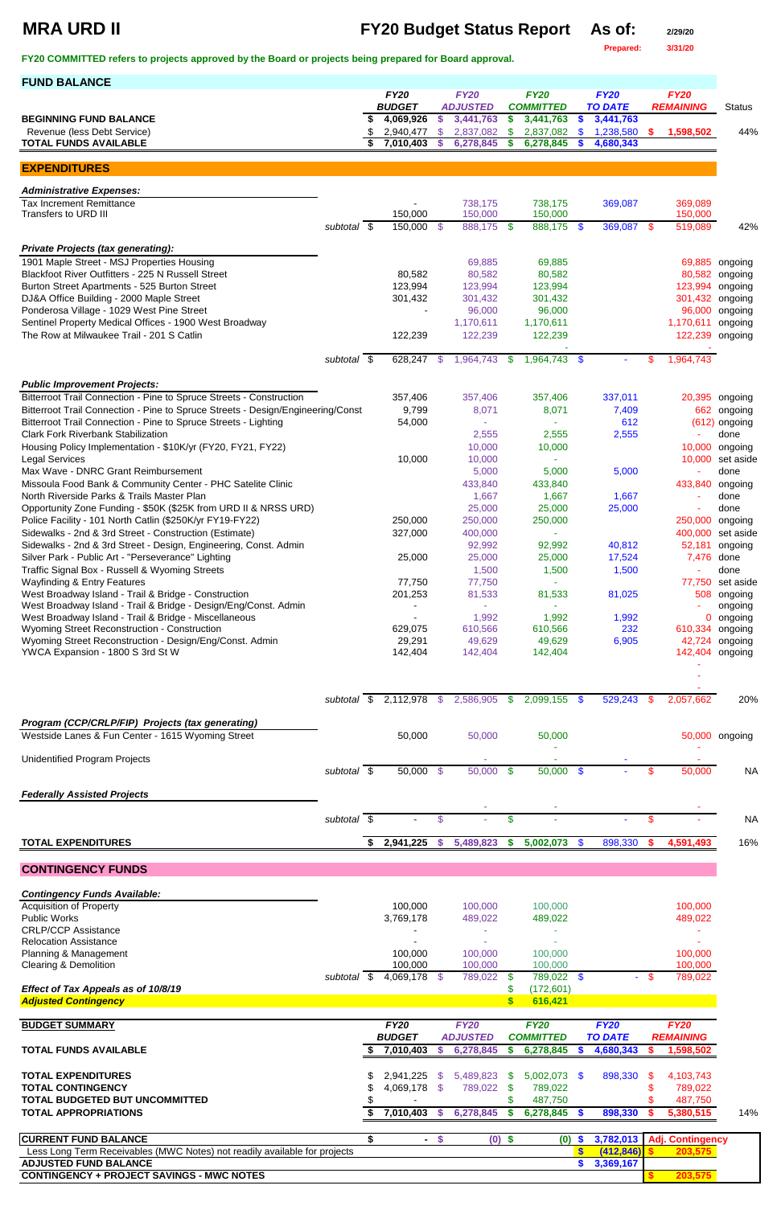# **MRA URD II FY20 Budget Status Report As of: 2/29/20**

**Prepared: 3/31/20**

**FY20 COMMITTED refers to projects approved by the Board or projects being prepared for Board approval.** 

| <b>FUND BALANCE</b>                                                                                          |                     |                          |                    |                        |                           |                        |               |                        |                           |                  |                   |
|--------------------------------------------------------------------------------------------------------------|---------------------|--------------------------|--------------------|------------------------|---------------------------|------------------------|---------------|------------------------|---------------------------|------------------|-------------------|
|                                                                                                              |                     | <b>FY20</b>              |                    | <b>FY20</b>            |                           | <b>FY20</b>            |               | <b>FY20</b>            |                           | <b>FY20</b>      |                   |
|                                                                                                              |                     | <b>BUDGET</b>            |                    | <b>ADJUSTED</b>        |                           | <b>COMMITTED</b>       |               | <b>TO DATE</b>         |                           | <b>REMAINING</b> | <b>Status</b>     |
| <b>BEGINNING FUND BALANCE</b>                                                                                |                     | 4,069,926                | S.                 | 3,441,763              | \$                        | 3,441,763              | S.<br>\$      | 3,441,763              |                           |                  | 44%               |
| Revenue (less Debt Service)<br><b>TOTAL FUNDS AVAILABLE</b>                                                  |                     | 2,940,477<br>7,010,403   | $\mathcal{L}$<br>S | 2,837,082<br>6,278,845 | \$<br>\$                  | 2,837,082<br>6,278,845 |               | 1,238,580<br>4,680,343 | <b>S</b>                  | 1,598,502        |                   |
|                                                                                                              |                     |                          |                    |                        |                           |                        |               |                        |                           |                  |                   |
| <b>EXPENDITURES</b>                                                                                          |                     |                          |                    |                        |                           |                        |               |                        |                           |                  |                   |
|                                                                                                              |                     |                          |                    |                        |                           |                        |               |                        |                           |                  |                   |
| <b>Administrative Expenses:</b><br><b>Tax Increment Remittance</b>                                           |                     |                          |                    | 738,175                |                           | 738,175                |               | 369,087                |                           | 369,089          |                   |
| Transfers to URD III                                                                                         |                     | 150,000                  |                    | 150,000                |                           | 150,000                |               |                        |                           | 150,000          |                   |
|                                                                                                              | subtotal \$         | 150,000                  | - \$               | 888,175 \$             |                           | 888,175 \$             |               | 369,087 \$             |                           | 519,089          | 42%               |
| <b>Private Projects (tax generating):</b>                                                                    |                     |                          |                    |                        |                           |                        |               |                        |                           |                  |                   |
| 1901 Maple Street - MSJ Properties Housing                                                                   |                     |                          |                    | 69,885                 |                           | 69,885                 |               |                        |                           | 69,885           | ongoing           |
| Blackfoot River Outfitters - 225 N Russell Street                                                            |                     | 80,582                   |                    | 80,582                 |                           | 80,582                 |               |                        |                           | 80,582           | ongoing           |
| Burton Street Apartments - 525 Burton Street                                                                 |                     | 123,994                  |                    | 123,994                |                           | 123,994                |               |                        |                           | 123,994          | ongoing           |
| DJ&A Office Building - 2000 Maple Street                                                                     |                     | 301,432                  |                    | 301,432                |                           | 301,432                |               |                        |                           | 301,432          | ongoing           |
| Ponderosa Village - 1029 West Pine Street                                                                    |                     |                          |                    | 96,000                 |                           | 96,000                 |               |                        |                           | 96,000           | ongoing           |
| Sentinel Property Medical Offices - 1900 West Broadway                                                       |                     |                          |                    | 1,170,611              |                           | 1,170,611              |               |                        |                           | 1,170,611        | ongoing           |
| The Row at Milwaukee Trail - 201 S Catlin                                                                    |                     | 122,239                  |                    | 122,239                |                           | 122,239                |               |                        |                           | 122,239          | ongoing           |
|                                                                                                              | subtotal \$         | 628,247                  | - \$               | 1,964,743              | \$.                       | 1,964,743 \$           |               | $\sim$                 | \$.                       | 1,964,743        |                   |
|                                                                                                              |                     |                          |                    |                        |                           |                        |               |                        |                           |                  |                   |
| <b>Public Improvement Projects:</b>                                                                          |                     |                          |                    |                        |                           |                        |               |                        |                           |                  |                   |
| Bitterroot Trail Connection - Pine to Spruce Streets - Construction                                          |                     | 357,406                  |                    | 357,406                |                           | 357,406                |               | 337,011                |                           | 20,395           | ongoing           |
| Bitterroot Trail Connection - Pine to Spruce Streets - Design/Engineering/Const                              |                     | 9,799                    |                    | 8,071                  |                           | 8,071                  |               | 7,409                  |                           | 662              | ongoing           |
| Bitterroot Trail Connection - Pine to Spruce Streets - Lighting<br><b>Clark Fork Riverbank Stabilization</b> |                     | 54,000                   |                    | 2,555                  |                           |                        |               | 612                    |                           | (612)            | ongoing<br>done   |
| Housing Policy Implementation - \$10K/yr (FY20, FY21, FY22)                                                  |                     |                          |                    | 10,000                 |                           | 2,555<br>10,000        |               | 2,555                  |                           | 10,000           | ongoing           |
| <b>Legal Services</b>                                                                                        |                     | 10,000                   |                    | 10,000                 |                           |                        |               |                        |                           | 10,000           | set aside         |
| Max Wave - DNRC Grant Reimbursement                                                                          |                     |                          |                    | 5,000                  |                           | 5,000                  |               | 5,000                  |                           |                  | done              |
| Missoula Food Bank & Community Center - PHC Satelite Clinic                                                  |                     |                          |                    | 433,840                |                           | 433,840                |               |                        |                           | 433,840          | ongoing           |
| North Riverside Parks & Trails Master Plan                                                                   |                     |                          |                    | 1,667                  |                           | 1,667                  |               | 1,667                  |                           |                  | done              |
| Opportunity Zone Funding - \$50K (\$25K from URD II & NRSS URD)                                              |                     |                          |                    | 25,000                 |                           | 25,000                 |               | 25,000                 |                           |                  | done              |
| Police Facility - 101 North Catlin (\$250K/yr FY19-FY22)                                                     |                     | 250,000                  |                    | 250,000                |                           | 250,000                |               |                        |                           | 250,000          | ongoing           |
| Sidewalks - 2nd & 3rd Street - Construction (Estimate)                                                       |                     | 327,000                  |                    | 400,000                |                           |                        |               |                        |                           | 400,000          | set aside         |
| Sidewalks - 2nd & 3rd Street - Design, Engineering, Const. Admin                                             |                     |                          |                    | 92,992                 |                           | 92,992                 |               | 40,812                 |                           | 52,181           | ongoing           |
| Silver Park - Public Art - "Perseverance" Lighting                                                           |                     | 25,000                   |                    | 25,000                 |                           | 25,000                 |               | 17,524                 |                           | 7,476            | done              |
| Traffic Signal Box - Russell & Wyoming Streets<br><b>Wayfinding &amp; Entry Features</b>                     |                     | 77,750                   |                    | 1,500<br>77,750        |                           | 1,500                  |               | 1,500                  |                           | 77,750           | done<br>set aside |
| West Broadway Island - Trail & Bridge - Construction                                                         |                     | 201,253                  |                    | 81,533                 |                           | 81,533                 |               | 81,025                 |                           | 508              | ongoing           |
| West Broadway Island - Trail & Bridge - Design/Eng/Const. Admin                                              |                     |                          |                    |                        |                           |                        |               |                        |                           |                  | ongoing           |
| West Broadway Island - Trail & Bridge - Miscellaneous                                                        |                     |                          |                    | 1,992                  |                           | 1,992                  |               | 1,992                  |                           | 0                | ongoing           |
| Wyoming Street Reconstruction - Construction                                                                 |                     | 629,075                  |                    | 610,566                |                           | 610,566                |               | 232                    |                           | 610,334          | ongoing           |
| Wyoming Street Reconstruction - Design/Eng/Const. Admin                                                      |                     | 29,291                   |                    | 49,629                 |                           | 49,629                 |               | 6,905                  |                           | 42,724           | ongoing           |
| YWCA Expansion - 1800 S 3rd St W                                                                             |                     | 142,404                  |                    | 142,404                |                           | 142,404                |               |                        |                           | 142,404          | ongoing           |
|                                                                                                              |                     |                          |                    |                        |                           |                        |               |                        |                           |                  |                   |
|                                                                                                              |                     |                          |                    |                        |                           |                        |               |                        |                           |                  |                   |
|                                                                                                              |                     | subtotal \$ 2,112,978 \$ |                    | 2,586,905              | - \$                      | 2,099,155 \$           |               | 529,243                | \$                        | 2,057,662        | 20%               |
| Program (CCP/CRLP/FIP) Projects (tax generating)                                                             |                     |                          |                    |                        |                           |                        |               |                        |                           |                  |                   |
| Westside Lanes & Fun Center - 1615 Wyoming Street                                                            |                     | 50,000                   |                    | 50,000                 |                           | 50,000                 |               |                        |                           |                  | 50,000 ongoing    |
|                                                                                                              |                     |                          |                    |                        |                           |                        |               |                        |                           |                  |                   |
| <b>Unidentified Program Projects</b>                                                                         |                     |                          |                    |                        |                           |                        |               |                        |                           |                  |                   |
|                                                                                                              | subtotal \$         | 50,000 \$                |                    | 50,000                 | - \$                      | $50,000$ \$            |               |                        | \$.                       | 50,000           | <b>NA</b>         |
| <b>Federally Assisted Projects</b>                                                                           |                     |                          |                    |                        |                           |                        |               |                        |                           |                  |                   |
|                                                                                                              |                     |                          |                    |                        |                           |                        |               |                        |                           |                  |                   |
|                                                                                                              | subtotal $\sqrt{s}$ |                          | \$                 |                        | \$                        |                        |               |                        | \$                        |                  | <b>NA</b>         |
| <b>TOTAL EXPENDITURES</b>                                                                                    |                     | \$2,941,225              | $\mathbf{\$}$      | 5,489,823              | $\boldsymbol{\mathsf{s}}$ | 5,002,073              | $\sqrt[6]{3}$ | 898,330                | $\boldsymbol{\mathsf{s}}$ | 4,591,493        | 16%               |
|                                                                                                              |                     |                          |                    |                        |                           |                        |               |                        |                           |                  |                   |

**CONTINGENCY FUNDS**

| <b>Contingency Funds Available:</b>                                              |             |               |      |                 |          |                    |               |                |        |                         |     |
|----------------------------------------------------------------------------------|-------------|---------------|------|-----------------|----------|--------------------|---------------|----------------|--------|-------------------------|-----|
| <b>Acquisition of Property</b>                                                   |             | 100,000       |      | 100,000         |          | 100,000            |               |                |        | 100,000                 |     |
| <b>Public Works</b>                                                              |             | 3,769,178     |      | 489,022         |          | 489,022            |               |                |        | 489,022                 |     |
| <b>CRLP/CCP Assistance</b>                                                       |             |               |      |                 |          |                    |               |                |        |                         |     |
| <b>Relocation Assistance</b>                                                     |             |               |      |                 |          |                    |               |                |        |                         |     |
| Planning & Management                                                            |             | 100,000       |      | 100,000         |          | 100,000            |               |                |        | 100,000                 |     |
| <b>Clearing &amp; Demolition</b>                                                 |             | 100,000       |      | 100,000         |          | 100,000            |               |                |        | 100,000                 |     |
|                                                                                  | subtotal \$ | 4,069,178 \$  |      | 789,022         | SS.      | 789,022            | $\mathbf{\$}$ |                | $-$ \$ | 789,022                 |     |
| Effect of Tax Appeals as of 10/8/19                                              |             |               |      |                 |          | (172, 601)         |               |                |        |                         |     |
| <b>Adjusted Contingency</b>                                                      |             |               |      |                 |          | 616,421            |               |                |        |                         |     |
|                                                                                  |             |               |      |                 |          |                    |               |                |        |                         |     |
| <b>BUDGET SUMMARY</b>                                                            |             | <b>FY20</b>   |      | <b>FY20</b>     |          | <b>FY20</b>        |               | <b>FY20</b>    |        | <b>FY20</b>             |     |
|                                                                                  |             | <b>BUDGET</b> |      | <b>ADJUSTED</b> |          | <b>COMMITTED</b>   |               | <b>TO DATE</b> |        | <b>REMAINING</b>        |     |
| <b>TOTAL FUNDS AVAILABLE</b>                                                     |             | 7,010,403     | S    | 6,278,845       | S.       | 6,278,845          | <b>S</b>      | 4,680,343      |        | 1,598,502               |     |
|                                                                                  |             |               |      |                 |          |                    |               |                |        |                         |     |
| <b>TOTAL EXPENDITURES</b>                                                        |             | 2,941,225     | \$.  | 5,489,823       | SS.      | 5,002,073          | -S            | 898,330        | \$.    |                         |     |
| <b>TOTAL CONTINGENCY</b>                                                         |             |               |      |                 | -SS      |                    |               |                |        | 4,103,743               |     |
| <b>TOTAL BUDGETED BUT UNCOMMITTED</b>                                            |             | 4,069,178 \$  |      | 789,022         |          | 789,022<br>487,750 |               |                |        | 789,022<br>487,750      |     |
| <b>TOTAL APPROPRIATIONS</b>                                                      |             | 7,010,403     | -S   | 6,278,845       | S        | 6,278,845          | <b>S</b>      | 898,330        |        | 5,380,515               | 14% |
|                                                                                  |             |               |      |                 |          |                    |               |                |        |                         |     |
| <b>CURRENT FUND BALANCE</b>                                                      | \$          | $\sim$        | - \$ |                 | $(0)$ \$ | (0)                | <b>S</b>      | 3,782,013      |        | <b>Adj. Contingency</b> |     |
| Less Long Term Receivables (MWC Notes) not readily available for projects        |             |               |      |                 |          |                    |               | (412, 846)     |        | 203,575                 |     |
| <b>ADJUSTED FUND BALANCE</b><br><b>CONTINGENCY + PROJECT SAVINGS - MWC NOTES</b> |             |               |      |                 |          |                    |               | 3,369,167      |        | 203,575                 |     |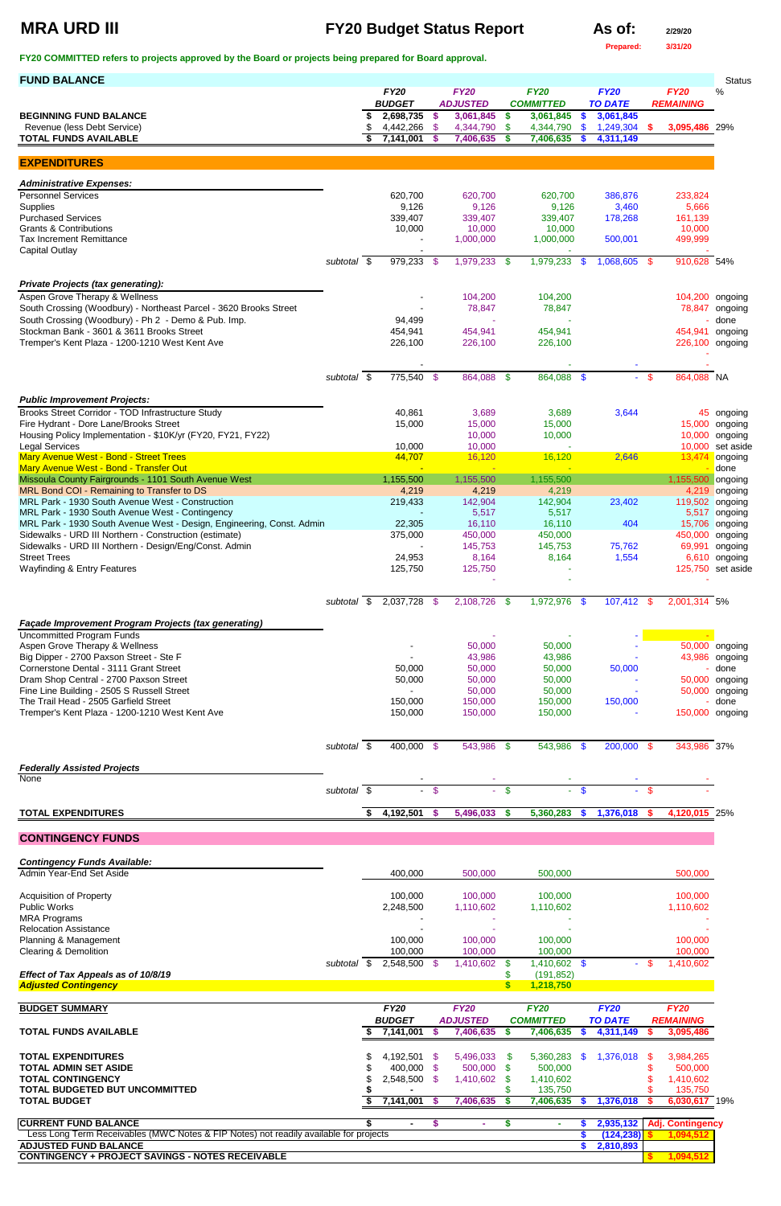# **MRA URD III FY20 Budget Status Report As of: 2/29/20**

**Prepared: 3/31/20**

**FY20 COMMITTED refers to projects approved by the Board or projects being prepared for Board approval.** 

| <b>FUND BALANCE</b>                                                                                                             |                          |                              |        |                                |                           |                                 |                           |                               |            |                                 | <b>Status</b>            |
|---------------------------------------------------------------------------------------------------------------------------------|--------------------------|------------------------------|--------|--------------------------------|---------------------------|---------------------------------|---------------------------|-------------------------------|------------|---------------------------------|--------------------------|
|                                                                                                                                 |                          | <b>FY20</b><br><b>BUDGET</b> |        | <b>FY20</b><br><b>ADJUSTED</b> |                           | <b>FY20</b><br><b>COMMITTED</b> |                           | <b>FY20</b><br><b>TO DATE</b> |            | <b>FY20</b><br><b>REMAINING</b> | $\%$                     |
| <b>BEGINNING FUND BALANCE</b>                                                                                                   |                          | 2,698,735                    | \$     | 3,061,845                      | \$                        | 3,061,845                       | $\mathbf{\$}$             | 3,061,845                     |            |                                 |                          |
| Revenue (less Debt Service)                                                                                                     |                          | 4,442,266                    | - \$   | 4,344,790                      | \$                        | 4,344,790                       | $\sqrt[6]{3}$             | 1,249,304                     | - \$       | 3,095,486 29%                   |                          |
| <b>TOTAL FUNDS AVAILABLE</b>                                                                                                    |                          | 7,141,001                    |        | 7,406,635                      | \$                        | 7,406,635                       | S                         | 4,311,149                     |            |                                 |                          |
| <b>EXPENDITURES</b>                                                                                                             |                          |                              |        |                                |                           |                                 |                           |                               |            |                                 |                          |
| <b>Administrative Expenses:</b>                                                                                                 |                          |                              |        |                                |                           |                                 |                           |                               |            |                                 |                          |
| <b>Personnel Services</b>                                                                                                       |                          | 620,700                      |        | 620,700                        |                           | 620,700                         |                           | 386,876                       |            | 233,824                         |                          |
| Supplies<br><b>Purchased Services</b>                                                                                           |                          | 9,126<br>339,407             |        | 9,126<br>339,407               |                           | 9,126<br>339,407                |                           | 3,460<br>178,268              |            | 5,666<br>161,139                |                          |
| <b>Grants &amp; Contributions</b>                                                                                               |                          | 10,000                       |        | 10,000                         |                           | 10,000                          |                           |                               |            | 10,000                          |                          |
| <b>Tax Increment Remittance</b><br><b>Capital Outlay</b>                                                                        |                          |                              |        | 1,000,000                      |                           | 1,000,000                       |                           | 500,001                       |            | 499,999                         |                          |
|                                                                                                                                 | subtotal $\overline{\$}$ | 979,233                      | - \$   | $1,979,233$ \$                 |                           | 1,979,233                       | - \$                      | 1,068,605                     | $\sqrt{3}$ | 910,628 54%                     |                          |
| <b>Private Projects (tax generating):</b>                                                                                       |                          |                              |        |                                |                           |                                 |                           |                               |            |                                 |                          |
| Aspen Grove Therapy & Wellness                                                                                                  |                          |                              |        | 104,200                        |                           | 104,200                         |                           |                               |            | 104,200 ongoing                 |                          |
| South Crossing (Woodbury) - Northeast Parcel - 3620 Brooks Street                                                               |                          |                              |        | 78,847                         |                           | 78,847                          |                           |                               |            |                                 | 78,847 ongoing           |
| South Crossing (Woodbury) - Ph 2 - Demo & Pub. Imp.<br>Stockman Bank - 3601 & 3611 Brooks Street                                |                          | 94,499<br>454,941            |        | 454,941                        |                           | 454,941                         |                           |                               |            | 454,941 ongoing                 | done                     |
| Tremper's Kent Plaza - 1200-1210 West Kent Ave                                                                                  |                          | 226,100                      |        | 226,100                        |                           | 226,100                         |                           |                               |            | 226,100 ongoing                 |                          |
|                                                                                                                                 |                          |                              |        |                                |                           |                                 |                           |                               |            |                                 |                          |
|                                                                                                                                 | subtotal \$              | 775,540 \$                   |        | 864,088                        | $\mathbf{\$}$             | $864,088$ \$                    |                           |                               | $-$ \$     | 864,088 NA                      |                          |
| <b>Public Improvement Projects:</b>                                                                                             |                          |                              |        |                                |                           |                                 |                           |                               |            |                                 |                          |
| Brooks Street Corridor - TOD Infrastructure Study                                                                               |                          | 40,861                       |        | 3,689                          |                           | 3,689                           |                           | 3,644                         |            |                                 | 45 ongoing               |
| Fire Hydrant - Dore Lane/Brooks Street                                                                                          |                          | 15,000                       |        | 15,000                         |                           | 15,000                          |                           |                               |            | 15,000                          | ongoing                  |
| Housing Policy Implementation - \$10K/yr (FY20, FY21, FY22)<br><b>Legal Services</b>                                            |                          | 10,000                       |        | 10,000<br>10,000               |                           | 10,000                          |                           |                               |            | 10,000<br>10,000                | ongoing<br>set aside     |
| Mary Avenue West - Bond - Street Trees                                                                                          |                          | 44,707                       |        | 16,120                         |                           | 16,120                          |                           | 2,646                         |            | 13,474                          | ongoing                  |
| Mary Avenue West - Bond - Transfer Out                                                                                          |                          |                              |        |                                |                           |                                 |                           |                               |            |                                 | done                     |
| Missoula County Fairgrounds - 1101 South Avenue West<br>MRL Bond COI - Remaining to Transfer to DS                              |                          | 1,155,500<br>4,219           |        | 1,155,500<br>4,219             |                           | 1,155,500<br>4,219              |                           |                               |            | 1,155,500                       | ongoing<br>4,219 ongoing |
| MRL Park - 1930 South Avenue West - Construction                                                                                |                          | 219,433                      |        | 142,904                        |                           | 142,904                         |                           | 23,402                        |            | 119,502 ongoing                 |                          |
| MRL Park - 1930 South Avenue West - Contingency                                                                                 |                          | 22,305                       |        | 5,517<br>16,110                |                           | 5,517<br>16,110                 |                           | 404                           |            |                                 | 5,517 ongoing            |
| MRL Park - 1930 South Avenue West - Design, Engineering, Const. Admin<br>Sidewalks - URD III Northern - Construction (estimate) |                          | 375,000                      |        | 450,000                        |                           | 450,000                         |                           |                               |            | 450,000 ongoing                 | 15,706 ongoing           |
| Sidewalks - URD III Northern - Design/Eng/Const. Admin                                                                          |                          |                              |        | 145,753                        |                           | 145,753                         |                           | 75,762                        |            | 69,991                          | ongoing                  |
| <b>Street Trees</b><br>Wayfinding & Entry Features                                                                              |                          | 24,953<br>125,750            |        | 8,164<br>125,750               |                           | 8,164                           |                           | 1,554                         |            | 125,750 set aside               | 6,610 ongoing            |
|                                                                                                                                 |                          |                              |        |                                |                           |                                 |                           |                               |            |                                 |                          |
|                                                                                                                                 | subtotal \$              | $2,037,\overline{728}$ \$    |        | 2,108,726 \$                   |                           | 1,972,976 \$                    |                           | 107,412 \$                    |            | 2,001,314 5%                    |                          |
| Façade Improvement Program Projects (tax generating)                                                                            |                          |                              |        |                                |                           |                                 |                           |                               |            |                                 |                          |
| <b>Uncommitted Program Funds</b>                                                                                                |                          |                              |        |                                |                           |                                 |                           |                               |            |                                 |                          |
| Aspen Grove Therapy & Wellness                                                                                                  |                          |                              |        | 50,000                         |                           | 50,000                          |                           |                               |            |                                 | 50,000 ongoing           |
| Big Dipper - 2700 Paxson Street - Ste F<br>Cornerstone Dental - 3111 Grant Street                                               |                          | 50,000                       |        | 43,986<br>50,000               |                           | 43,986<br>50,000                |                           | 50,000                        |            |                                 | 43,986 ongoing<br>done   |
| Dram Shop Central - 2700 Paxson Street                                                                                          |                          | 50,000                       |        | 50,000                         |                           | 50,000                          |                           |                               |            |                                 | 50,000 ongoing           |
| Fine Line Building - 2505 S Russell Street<br>The Trail Head - 2505 Garfield Street                                             |                          |                              |        | 50,000                         |                           | 50,000                          |                           |                               |            |                                 | 50,000 ongoing           |
| Tremper's Kent Plaza - 1200-1210 West Kent Ave                                                                                  |                          | 150,000<br>150,000           |        | 150,000<br>150,000             |                           | 150,000<br>150,000              |                           | 150,000                       |            | 150,000 ongoing                 | done                     |
|                                                                                                                                 |                          |                              |        |                                |                           |                                 |                           |                               |            |                                 |                          |
|                                                                                                                                 | subtotal \$              | 400,000 \$                   |        | 543,986 \$                     |                           | 543,986 \$                      |                           | 200,000 \$                    |            | 343,986 37%                     |                          |
| <b>Federally Assisted Projects</b>                                                                                              |                          |                              |        |                                |                           |                                 |                           |                               |            |                                 |                          |
| None                                                                                                                            | subtotal $\sqrt{s}$      |                              | $-$ \$ |                                | $\boldsymbol{\mathsf{s}}$ |                                 | $\mathbf{\$}$             |                               | $-$ \$     |                                 |                          |
|                                                                                                                                 |                          |                              |        |                                |                           |                                 |                           |                               |            |                                 |                          |
| <b>TOTAL EXPENDITURES</b>                                                                                                       |                          | 4,192,501                    | - \$   | 5,496,033 \$                   |                           | 5,360,283                       | $\boldsymbol{\mathsf{s}}$ | 1,376,018                     | - \$       | 4,120,015 25%                   |                          |
| <b>CONTINGENCY FUNDS</b>                                                                                                        |                          |                              |        |                                |                           |                                 |                           |                               |            |                                 |                          |
| <b>Contingency Funds Available:</b>                                                                                             |                          |                              |        |                                |                           |                                 |                           |                               |            |                                 |                          |

Admin Year-End Set Aside 600,000 500,000 500,000 500,000 500,000 500,000 500,000 500,000 500,000 500,000 500,000

| <b>Acquisition of Property</b>                                                        |          |      | 100,000        |      | 100,000         |     | 100,000              |     |                |      | 100,000                 |  |
|---------------------------------------------------------------------------------------|----------|------|----------------|------|-----------------|-----|----------------------|-----|----------------|------|-------------------------|--|
| <b>Public Works</b>                                                                   |          |      | 2,248,500      |      | 1,110,602       |     | 1,110,602            |     |                |      | 1,110,602               |  |
| <b>MRA Programs</b>                                                                   |          |      |                |      |                 |     |                      |     |                |      |                         |  |
| <b>Relocation Assistance</b>                                                          |          |      |                |      |                 |     |                      |     |                |      |                         |  |
| Planning & Management                                                                 |          |      | 100,000        |      | 100,000         |     | 100,000              |     |                |      | 100,000                 |  |
| Clearing & Demolition                                                                 |          |      | 100,000        |      | 100,000         |     | 100,000              |     |                |      | 100,000                 |  |
|                                                                                       | subtotal | - SS | $2,548,500$ \$ |      | 1,410,602       | \$. | 1,410,602            | \$. |                | - \$ | 1,410,602               |  |
| Effect of Tax Appeals as of 10/8/19                                                   |          |      |                |      |                 |     | (191, 852)           |     |                |      |                         |  |
| <b>Adjusted Contingency</b>                                                           |          |      |                |      |                 |     | 1,218,750            |     |                |      |                         |  |
|                                                                                       |          |      |                |      |                 |     |                      |     |                |      |                         |  |
| <b>BUDGET SUMMARY</b>                                                                 |          |      | <b>FY20</b>    |      | <b>FY20</b>     |     | <b>FY20</b>          |     | <b>FY20</b>    |      | <b>FY20</b>             |  |
|                                                                                       |          |      | <b>BUDGET</b>  |      | <b>ADJUSTED</b> |     | <b>COMMITTED</b>     |     | <b>TO DATE</b> |      | <b>REMAINING</b>        |  |
| <b>TOTAL FUNDS AVAILABLE</b>                                                          |          |      | 7,141,001      | S    | 7,406,635       | S   | 7,406,635            | S.  | 4,311,149      |      | 3,095,486               |  |
| <b>TOTAL EXPENDITURES</b>                                                             |          |      | 4,192,501      | - SS | 5,496,033       |     |                      | \$. | 1,376,018      | S    | 3,984,265               |  |
|                                                                                       |          |      |                |      |                 | S.  | 5,360,283            |     |                |      |                         |  |
| TOTAL ADMIN SET ASIDE                                                                 |          |      | 400,000        | - \$ | 500,000         | S.  | 500,000              |     |                |      | 500,000                 |  |
| <b>TOTAL CONTINGENCY</b>                                                              |          |      |                | - \$ |                 |     |                      |     |                |      |                         |  |
| TOTAL BUDGETED BUT UNCOMMITTED                                                        |          |      | 2,548,500      |      | 1,410,602       |     | 1,410,602<br>135,750 |     |                |      | 1,410,602<br>135,750    |  |
| <b>TOTAL BUDGET</b>                                                                   |          |      | 7,141,001      |      | 7,406,635       |     | 7,406,635            |     | 1,376,018      |      | 6,030,617 19%           |  |
| <b>CURRENT FUND BALANCE</b>                                                           |          |      | $\blacksquare$ | S    | ٠               |     | <b>.</b>             |     | 2,935,132      |      | <b>Adj. Contingency</b> |  |
| Less Long Term Receivables (MWC Notes & FIP Notes) not readily available for projects |          |      |                |      |                 |     |                      |     | (124, 238)     |      | 1,094,512               |  |
| <b>ADJUSTED FUND BALANCE</b>                                                          |          |      |                |      |                 |     |                      |     | 2,810,893      |      |                         |  |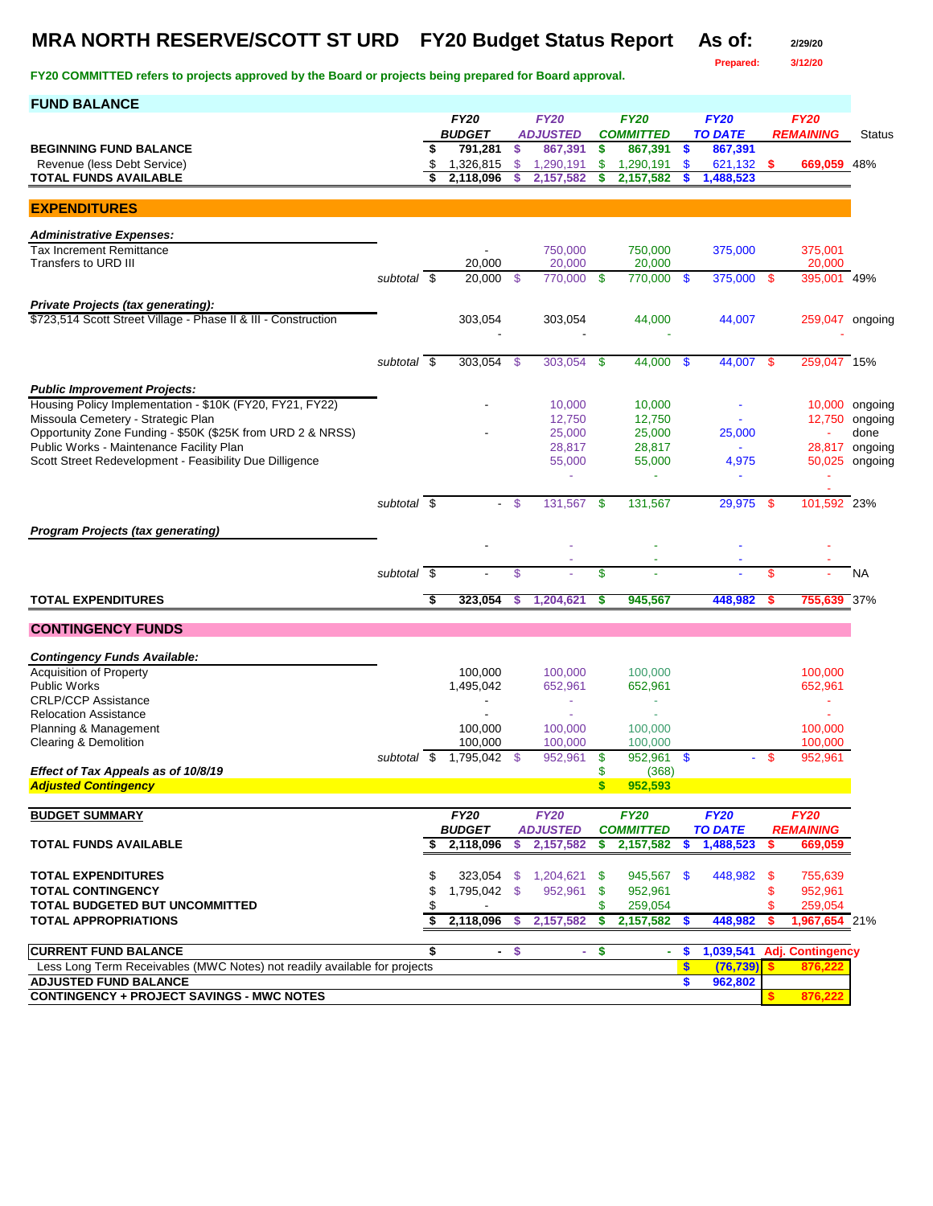## **MRA NORTH RESERVE/SCOTT ST URD FY20 Budget Status Report As of: 2/29/20**

**Prepared: 3/12/20**

| <b>FUND BALANCE</b>                                                                            |                          |    |                          |        |                            |          |                             |                   |                           |      |                         |                           |
|------------------------------------------------------------------------------------------------|--------------------------|----|--------------------------|--------|----------------------------|----------|-----------------------------|-------------------|---------------------------|------|-------------------------|---------------------------|
|                                                                                                |                          |    | <b>FY20</b>              |        | <b>FY20</b>                |          | <b>FY20</b>                 |                   | <b>FY20</b>               |      | <b>FY20</b>             |                           |
| <b>BEGINNING FUND BALANCE</b>                                                                  |                          |    | <b>BUDGET</b><br>791,281 | \$     | <b>ADJUSTED</b><br>867,391 | \$       | <b>COMMITTED</b><br>867,391 | $\sqrt{5}$        | <b>TO DATE</b><br>867,391 |      | <b>REMAINING</b>        | <b>Status</b>             |
| Revenue (less Debt Service)                                                                    |                          |    | 1,326,815                | \$     | 1,290,191                  | \$       | 1,290,191                   | \$                | 621,132                   | \$   | 669,059 48%             |                           |
| <b>TOTAL FUNDS AVAILABLE</b>                                                                   |                          | \$ | 2,118,096                | \$     | 2,157,582                  | \$       | 2,157,582                   | S                 | 1,488,523                 |      |                         |                           |
|                                                                                                |                          |    |                          |        |                            |          |                             |                   |                           |      |                         |                           |
| <b>EXPENDITURES</b>                                                                            |                          |    |                          |        |                            |          |                             |                   |                           |      |                         |                           |
| <b>Administrative Expenses:</b>                                                                |                          |    |                          |        |                            |          |                             |                   |                           |      |                         |                           |
| <b>Tax Increment Remittance</b>                                                                |                          |    |                          |        | 750,000                    |          | 750,000                     |                   | 375,000                   |      | 375,001                 |                           |
| Transfers to URD III                                                                           |                          |    | 20,000                   |        | 20,000                     |          | 20,000                      |                   |                           |      | 20,000                  |                           |
|                                                                                                | subtotal \$              |    | 20,000                   | - \$   | 770,000 \$                 |          | 770,000 \$                  |                   | 375,000 \$                |      | 395,001 49%             |                           |
| Private Projects (tax generating):                                                             |                          |    |                          |        |                            |          |                             |                   |                           |      |                         |                           |
| \$723,514 Scott Street Village - Phase II & III - Construction                                 |                          |    | 303,054                  |        | 303,054                    |          | 44,000                      |                   | 44,007                    |      | 259,047 ongoing         |                           |
|                                                                                                |                          |    |                          |        |                            |          |                             |                   |                           |      |                         |                           |
|                                                                                                | subtotal $\overline{\$}$ |    | 303,054                  | \$     | 303,054                    | -\$      | 44,000                      | \$                | 44,007                    | -S   | 259,047 15%             |                           |
|                                                                                                |                          |    |                          |        |                            |          |                             |                   |                           |      |                         |                           |
| <b>Public Improvement Projects:</b>                                                            |                          |    |                          |        |                            |          |                             |                   |                           |      |                         |                           |
| Housing Policy Implementation - \$10K (FY20, FY21, FY22)<br>Missoula Cemetery - Strategic Plan |                          |    |                          |        | 10,000<br>12,750           |          | 10,000<br>12,750            |                   |                           |      | 12,750                  | 10,000 ongoing<br>ongoing |
| Opportunity Zone Funding - \$50K (\$25K from URD 2 & NRSS)                                     |                          |    |                          |        | 25,000                     |          | 25,000                      |                   | 25,000                    |      |                         | done                      |
| Public Works - Maintenance Facility Plan                                                       |                          |    |                          |        | 28,817                     |          | 28,817                      |                   |                           |      |                         | 28,817 ongoing            |
| Scott Street Redevelopment - Feasibility Due Dilligence                                        |                          |    |                          |        | 55,000                     |          | 55,000                      |                   | 4,975                     |      |                         | 50,025 ongoing            |
|                                                                                                |                          |    |                          |        | ÷                          |          | ٠                           |                   |                           |      |                         |                           |
|                                                                                                | subtotal \$              |    |                          | - \$   | 131,567                    | -\$      | 131,567                     |                   | 29.975                    | -\$  | 101,592 23%             |                           |
|                                                                                                |                          |    |                          |        |                            |          |                             |                   |                           |      |                         |                           |
| Program Projects (tax generating)                                                              |                          |    |                          |        |                            |          |                             |                   |                           |      |                         |                           |
|                                                                                                |                          |    |                          |        |                            |          |                             |                   |                           |      |                         |                           |
|                                                                                                | subtotal \$              |    |                          | \$     |                            | \$       |                             |                   |                           | \$   |                         | <b>NA</b>                 |
| <b>TOTAL EXPENDITURES</b>                                                                      |                          | -ड | 323,054                  | S      | 1,204,621                  | S        | 945,567                     |                   | 448,982                   |      | 755,639 37%             |                           |
|                                                                                                |                          |    |                          |        |                            |          |                             |                   |                           |      |                         |                           |
| <b>CONTINGENCY FUNDS</b>                                                                       |                          |    |                          |        |                            |          |                             |                   |                           |      |                         |                           |
| <b>Contingency Funds Available:</b>                                                            |                          |    |                          |        |                            |          |                             |                   |                           |      |                         |                           |
| <b>Acquisition of Property</b>                                                                 |                          |    | 100,000                  |        | 100,000                    |          | 100,000                     |                   |                           |      | 100,000                 |                           |
| <b>Public Works</b>                                                                            |                          |    | 1,495,042                |        | 652,961                    |          | 652,961                     |                   |                           |      | 652,961                 |                           |
| <b>CRLP/CCP Assistance</b><br><b>Relocation Assistance</b>                                     |                          |    |                          |        |                            |          | ٠                           |                   |                           |      | ÷                       |                           |
| Planning & Management                                                                          |                          |    | 100,000                  |        | 100,000                    |          | 100,000                     |                   |                           |      | 100.000                 |                           |
| <b>Clearing &amp; Demolition</b>                                                               |                          |    | 100,000                  |        | 100,000                    |          | 100,000                     |                   |                           |      | 100.000                 |                           |
|                                                                                                | subtotal \$              |    | 1,795,042 \$             |        | 952,961                    | -\$      | 952,961 \$                  |                   |                           | - \$ | 952,961                 |                           |
| Effect of Tax Appeals as of 10/8/19<br><b>Adjusted Contingency</b>                             |                          |    |                          |        |                            | \$<br>\$ | (368)<br>952,593            |                   |                           |      |                         |                           |
|                                                                                                |                          |    |                          |        |                            |          |                             |                   |                           |      |                         |                           |
| <b>BUDGET SUMMARY</b>                                                                          |                          |    | <b>FY20</b>              |        | <b>FY20</b>                |          | <b>FY20</b>                 |                   | <b>FY20</b>               |      | <b>FY20</b>             |                           |
|                                                                                                |                          |    | <b>BUDGET</b>            |        | <b>ADJUSTED</b>            |          | <b>COMMITTED</b>            |                   | <b>TO DATE</b>            |      | <b>REMAINING</b>        |                           |
| <b>TOTAL FUNDS AVAILABLE</b>                                                                   |                          | \$ | 2,118,096                | \$     | 2,157,582                  | s        | 2,157,582                   | \$                | 1,488,523                 | \$   | 669,059                 |                           |
| <b>TOTAL EXPENDITURES</b>                                                                      |                          |    |                          |        | 323,054 \$ 1,204,621 \$    |          | 945,567 \$                  |                   | 448,982 \$                |      | 755,639                 |                           |
| <b>TOTAL CONTINGENCY</b>                                                                       |                          |    | 1,795,042 \$             |        | 952,961 \$                 |          | 952,961                     |                   |                           | \$   | 952,961                 |                           |
| TOTAL BUDGETED BUT UNCOMMITTED                                                                 |                          |    |                          |        |                            | \$       | 259,054                     |                   |                           | \$   | 259,054                 |                           |
| <b>TOTAL APPROPRIATIONS</b>                                                                    |                          | \$ | 2,118,096                | \$.    | 2,157,582                  | s        | 2,157,582                   | - \$              | 448,982                   |      | 1,967,654 21%           |                           |
| <b>CURRENT FUND BALANCE</b>                                                                    |                          | \$ |                          | $-$ \$ | $\sim$                     | \$       | ÷.                          | \$                | 1,039,541                 |      | <b>Adj. Contingency</b> |                           |
| Less Long Term Receivables (MWC Notes) not readily available for projects                      |                          |    |                          |        |                            |          |                             | $\boldsymbol{\$}$ | (76, 739)                 |      | 876,22                  |                           |
| <b>ADJUSTED FUND BALANCE</b>                                                                   |                          |    |                          |        |                            |          |                             | \$                | 962,802                   |      |                         |                           |
| <b>CONTINGENCY + PROJECT SAVINGS - MWC NOTES</b>                                               |                          |    |                          |        |                            |          |                             |                   |                           |      | 876,222                 |                           |